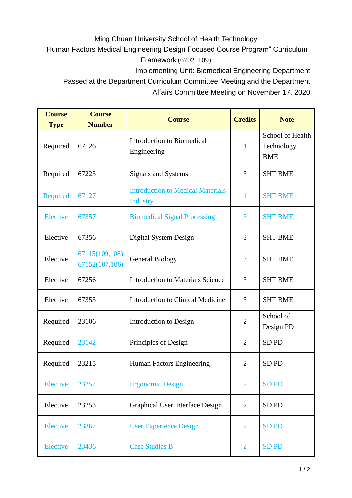## Ming Chuan University School of Health Technology

"Human Factors Medical Engineering Design Focused Course Program" Curriculum Framework (6702\_109)

Implementing Unit: Biomedical Engineering Department

Passed at the Department Curriculum Committee Meeting and the Department

Affairs Committee Meeting on November 17, 2020

| <b>Course</b><br><b>Type</b> | <b>Course</b><br><b>Number</b>   | <b>Course</b>                                               | <b>Credits</b> | <b>Note</b>                                  |
|------------------------------|----------------------------------|-------------------------------------------------------------|----------------|----------------------------------------------|
| Required                     | 67126                            | <b>Introduction to Biomedical</b><br>Engineering            | $\mathbf{1}$   | School of Health<br>Technology<br><b>BME</b> |
| Required                     | 67223                            | Signals and Systems                                         | 3              | <b>SHT BME</b>                               |
| Required                     | 67127                            | <b>Introduction to Medical Materials</b><br><b>Industry</b> | 1              | <b>SHT BME</b>                               |
| <b>Elective</b>              | 67357                            | <b>Biomedical Signal Processing</b>                         | 3              | <b>SHT BME</b>                               |
| Elective                     | 67356                            | Digital System Design                                       | 3              | <b>SHT BME</b>                               |
| Elective                     | 67115(109,108)<br>67152(107,106) | <b>General Biology</b>                                      | 3              | <b>SHT BME</b>                               |
| Elective                     | 67256                            | <b>Introduction to Materials Science</b>                    | 3              | <b>SHT BME</b>                               |
| Elective                     | 67353                            | <b>Introduction to Clinical Medicine</b>                    | 3              | <b>SHT BME</b>                               |
| Required                     | 23106                            | Introduction to Design                                      | $\overline{2}$ | School of<br>Design PD                       |
| Required                     | 23142                            | Principles of Design                                        | $\overline{2}$ | SD <sub>PD</sub>                             |
| Required                     | 23215                            | Human Factors Engineering                                   | $\overline{2}$ | SD <sub>PD</sub>                             |
| <b>Elective</b>              | 23257                            | <b>Ergonomic Design</b>                                     | $\overline{2}$ | <b>SDPD</b>                                  |
| Elective                     | 23253                            | Graphical User Interface Design                             | $\overline{2}$ | SD <sub>PD</sub>                             |
| <b>Elective</b>              | 23367                            | <b>User Experience Design</b>                               | $\overline{2}$ | <b>SDPD</b>                                  |
| Elective                     | 23436                            | <b>Case Studies B</b>                                       | $\overline{2}$ | <b>SDPD</b>                                  |